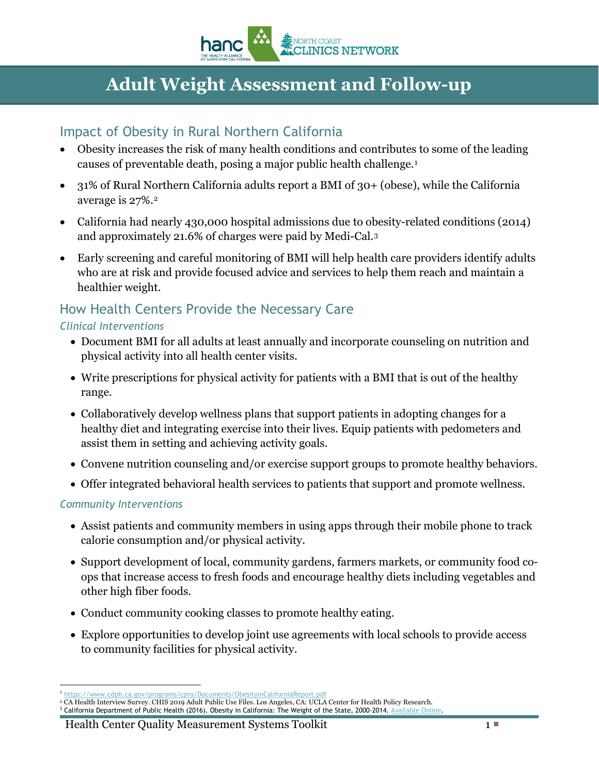

# **Adult Weight Assessment and Follow-up**

## Impact of Obesity in Rural Northern California

- Obesity increases the risk of many health conditions and contributes to some of the leading causes of preventable death, posing a major public health challenge.[1](#page-0-0)
- 31% of Rural Northern California adults report a BMI of 30+ (obese), while the California average is 27%.[2](#page-0-1)
- California had nearly 430,000 hospital admissions due to obesity-related conditions (2014) and approximately 21.6% of charges were paid by Medi-Cal.[3](#page-0-2)
- Early screening and careful monitoring of BMI will help health care providers identify adults who are at risk and provide focused advice and services to help them reach and maintain a healthier weight.

# How Health Centers Provide the Necessary Care

#### *Clinical Interventions*

- Document BMI for all adults at least annually and incorporate counseling on nutrition and physical activity into all health center visits.
- Write prescriptions for physical activity for patients with a BMI that is out of the healthy range.
- Collaboratively develop wellness plans that support patients in adopting changes for a healthy diet and integrating exercise into their lives. Equip patients with pedometers and assist them in setting and achieving activity goals.
- Convene nutrition counseling and/or exercise support groups to promote healthy behaviors.
- Offer integrated behavioral health services to patients that support and promote wellness.

#### *Community Interventions*

- Assist patients and community members in using apps through their mobile phone to track calorie consumption and/or physical activity.
- Support development of local, community gardens, farmers markets, or community food coops that increase access to fresh foods and encourage healthy diets including vegetables and other high fiber foods.
- Conduct community cooking classes to promote healthy eating.
- Explore opportunities to develop joint use agreements with local schools to provide access to community facilities for physical activity.

#### Health Center Quality Measurement Systems Toolkit 1 and 1 and 1 and 1 and 1 and 1 and 1 and 1 and 1 and 1 and 1 and 1 and 1 and 1 and 1 and 1 and 1 and 1 and 1 and 1 and 1 and 1 and 1 and 1 and 1 and 1 and 1 and 1 and 1 an

<span id="page-0-0"></span> $\overline{a}$ <sup>1</sup> <https://www.cdph.ca.gov/programs/cpns/Documents/ObesityinCaliforniaReport.pdf>

<span id="page-0-1"></span><sup>&</sup>lt;sup>2</sup> CA Health Interview Survey. CHIS 2019 Adult Public Use Files. Los Angeles, CA: UCLA Center for Health Policy Research.<br><sup>3</sup> California Department of Public Health (2016). Obesity in California: The Weight of the State,

<span id="page-0-2"></span>